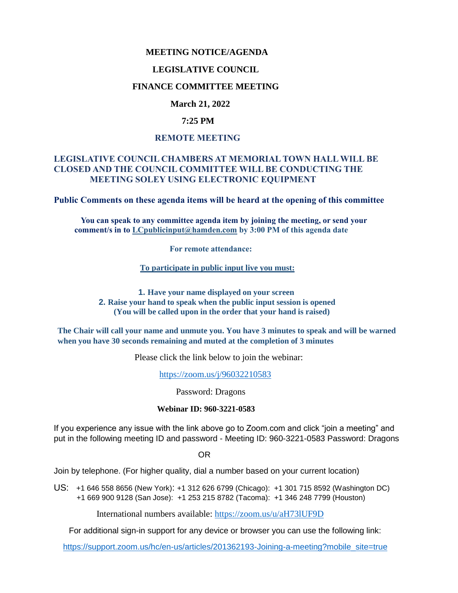### **MEETING NOTICE/AGENDA**

#### **LEGISLATIVE COUNCIL**

## **FINANCE COMMITTEE MEETING**

## **March 21, 2022**

### **7:25 PM**

#### **REMOTE MEETING**

## **LEGISLATIVE COUNCIL CHAMBERS AT MEMORIAL TOWN HALL WILL BE CLOSED AND THE COUNCIL COMMITTEE WILL BE CONDUCTING THE MEETING SOLEY USING ELECTRONIC EQUIPMENT**

**Public Comments on these agenda items will be heard at the opening of this committee** 

 **You can speak to any committee agenda item by joining the meeting, or send your comment/s in to [LCpublicinput@hamden.com](mailto:LCpublicinput@hamden.com) by 3:00 PM of this agenda date**

 **For remote attendance:**

**To participate in public input live you must:**

**1. Have your name displayed on your screen 2. Raise your hand to speak when the public input session is opened (You will be called upon in the order that your hand is raised)**

**The Chair will call your name and unmute you. You have 3 minutes to speak and will be warned when you have 30 seconds remaining and muted at the completion of 3 minutes**

Please click the link below to join the webinar:

<https://zoom.us/j/96032210583>

Password: Dragons

#### **Webinar ID: 960-3221-0583**

If you experience any issue with the link above go to Zoom.com and click "join a meeting" and put in the following meeting ID and password - Meeting ID: 960-3221-0583 Password: Dragons

OR

Join by telephone. (For higher quality, dial a number based on your current location)

US: [+1 646 558 8656 \(New York\)](tel:+16465588656): [+1 312 626 6799 \(Chicago\):](tel:+13126266799) [+1 301 715 8592 \(Washington DC\)](tel:+13017158592) +1 669 900 9128 (San Jose): [+1 253 215 8782 \(Tacoma\):](tel:+12532158782) [+1 346 248 7799 \(Houston\)](tel:+13462487799)

International numbers available:<https://zoom.us/u/aH73lUF9D>

For additional sign-in support for any device or browser you can use the following link:

[https://support.zoom.us/hc/en-us/articles/201362193-Joining-a-meeting?mobile\\_site=true](https://support.zoom.us/hc/en-us/articles/201362193-Joining-a-meeting?mobile_site=true)